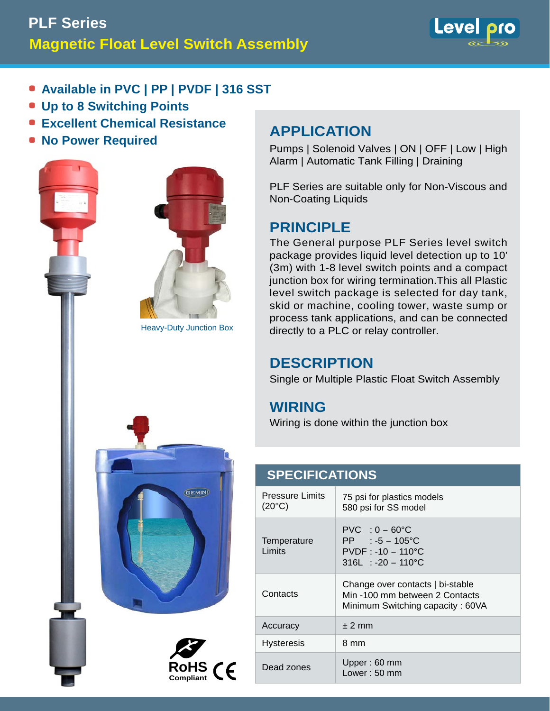# **Magnetic Float Level Switch Assembly PLF Series**



- **Available in PVC | PP | PVDF | 316 SST**
- **Up to 8 Switching Points**
- **Excellent Chemical Resistance**
- **No Power Required**



**Compliant**



Pumps | Solenoid Valves | ON | OFF | Low | High Alarm | Automatic Tank Filling | Draining

PLF Series are suitable only for Non-Viscous and Non-Coating Liquids

## **PRINCIPLE**

The General purpose PLF Series level switch package provides liquid level detection up to 10' (3m) with 1-8 level switch points and a compact junction box for wiring termination.This all Plastic level switch package is selected for day tank, skid or machine, cooling tower, waste sump or process tank applications, and can be connected directly to a PLC or relay controller.

### **DESCRIPTION**

Single or Multiple Plastic Float Switch Assembly

## **WIRING**

Wiring is done within the junction box

### Pressure Limits  $(20^{\circ}C)$ 75 psi for plastics models 580 psi for SS model **Temperature** Limits  $PVC$  :  $0 - 60^{\circ}C$  $PP$  :  $-5$  - 105°C PVDF : -10 - 110°C 316L : -20 - 110°C **Contacts** Change over contacts | bi-stable Min -100 mm between 2 Contacts Minimum Switching capacity : 60VA Accuracy  $\pm 2$  mm Hysteresis | 8 mm Dead zones Upper : 60 mm Lower : 50 mm **SPECIFICATIONS**